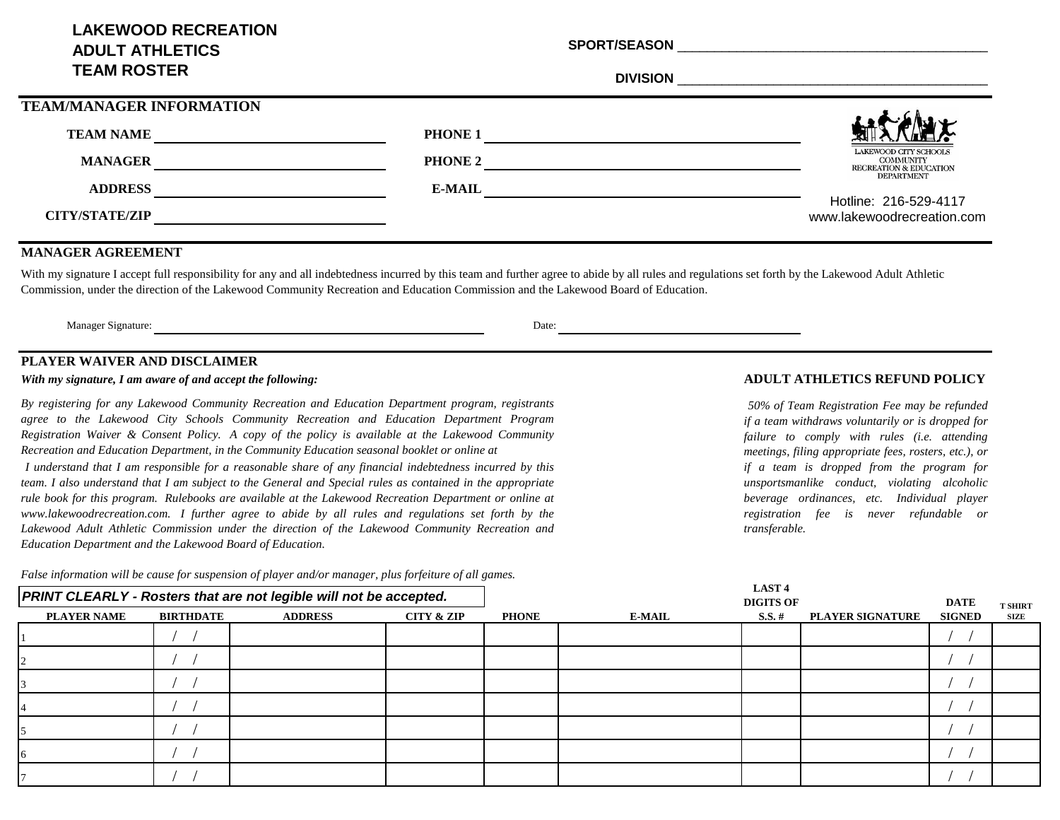# **LAKEWOOD RECREATION ADULT ATHLETICS TEAM ROSTER**

**SPORT/SEASON** 

**DIVISION** \_\_\_\_\_\_\_\_\_\_\_\_\_\_\_\_\_\_\_\_\_\_\_\_\_\_\_\_\_\_\_\_\_\_\_\_\_\_\_\_\_\_

| <b>TEAM/MANAGER INFORMATION</b> |                |                                                                                |
|---------------------------------|----------------|--------------------------------------------------------------------------------|
| <b>TEAM NAME</b>                | <b>PHONE 1</b> |                                                                                |
| <b>MANAGER</b>                  | <b>PHONE 2</b> | LAKEWOOD CITY SCHOOLS<br><b>COMMUNITY</b><br><b>RECREATION &amp; EDUCATION</b> |
| <b>ADDRESS</b>                  | <b>E-MAIL</b>  | <b>DEPARTMENT</b><br>Hotline: 216-529-4117                                     |
| <b>CITY/STATE/ZIP</b>           |                | www.lakewoodrecreation.com                                                     |

#### **MANAGER AGREEMENT**

With my signature I accept full responsibility for any and all indebtedness incurred by this team and further agree to abide by all rules and regulations set forth by the Lakewood Adult Athletic Commission, under the direction of the Lakewood Community Recreation and Education Commission and the Lakewood Board of Education.

Manager Signature: Date: Date: Date: Date: Date: Date: Date: Date: Date: Date: Date: Date: Date: Date: Date: Date: Date: Date: Date: Date: Date: Date: Date: Date: Date: Date: Date: Date: Date: Date: Date: Date: Date: Date:

#### **PLAYER WAIVER AND DISCLAIMER**

#### *With my signature, I am aware of and accept the following:*

*By registering for any Lakewood Community Recreation and Education Department program, registrants agree to the Lakewood City Schools Community Recreation and Education Department Program Registration Waiver & Consent Policy. A copy of the policy is available at the Lakewood Community Recreation and Education Department, in the Community Education seasonal booklet or online at* 

*I understand that I am responsible for a reasonable share of any financial indebtedness incurred by this* team. I also understand that I am subject to the General and Special rules as contained in the appropriate *rule book for this program. Rulebooks are available at the Lakewood Recreation Department or online at www.lakewoodrecreation.com. I further agree to abide by all rules and regulations set forth by the Lakewood Adult Athletic Commission under the direction of the Lakewood Community Recreation and Education Department and the Lakewood Board of Education.*

### **ADULT ATHLETICS REFUND POLICY**

*50% of Team Registration Fee may be refunded if a team withdraws voluntarily or is dropped for failure to comply with rules (i.e. attending meetings, filing appropriate fees, rosters, etc.), or if a team is dropped from the program for unsportsmanlike conduct, violating alcoholic beverage ordinances, etc. Individual player registration fee is never refundable or transferable.*

| PRINT CLEARLY - Rosters that are not legible will not be accepted. |                  |                |                       |              |               | <b>LAST 4</b><br><b>DIGITS OF</b> |                         |                       | <b>T SHIRT</b> |
|--------------------------------------------------------------------|------------------|----------------|-----------------------|--------------|---------------|-----------------------------------|-------------------------|-----------------------|----------------|
| <b>PLAYER NAME</b>                                                 | <b>BIRTHDATE</b> | <b>ADDRESS</b> | <b>CITY &amp; ZIP</b> | <b>PHONE</b> | <b>E-MAIL</b> | $S.S. \#$                         | <b>PLAYER SIGNATURE</b> | <b>DATE</b><br>SIGNED | SIZE           |
|                                                                    |                  |                |                       |              |               |                                   |                         |                       |                |
|                                                                    |                  |                |                       |              |               |                                   |                         |                       |                |
|                                                                    |                  |                |                       |              |               |                                   |                         |                       |                |
|                                                                    |                  |                |                       |              |               |                                   |                         |                       |                |
|                                                                    |                  |                |                       |              |               |                                   |                         |                       |                |
|                                                                    |                  |                |                       |              |               |                                   |                         |                       |                |
|                                                                    |                  |                |                       |              |               |                                   |                         |                       |                |

*False information will be cause for suspension of player and/or manager, plus forfeiture of all games.*